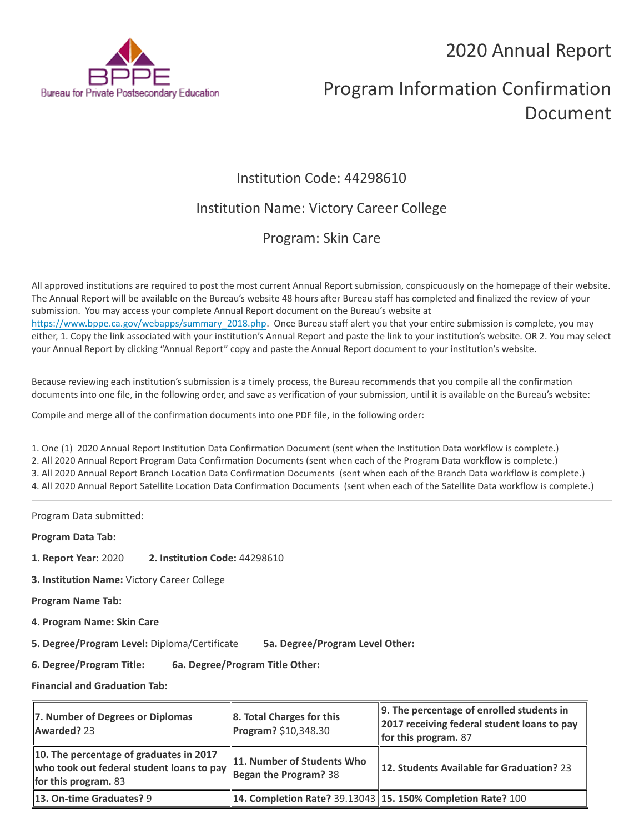## 2020 Annual Report



# Program Information Confirmation Document

### Institution Code: 44298610

### Institution Name: Victory Career College

### Program: Skin Care

All approved institutions are required to post the most current Annual Report submission, conspicuously on the homepage of their website. The Annual Report will be available on the Bureau's website 48 hours after Bureau staff has completed and finalized the review of your submission. You may access your complete Annual Report document on the Bureau's website at [https://www.bppe.ca.gov/webapps/summary\\_2018.php.](https://www.bppe.ca.gov/webapps/summary_2018.php) Once Bureau staff alert you that your entire submission is complete, you may either, 1. Copy the link associated with your institution's Annual Report and paste the link to your institution's website. OR 2. You may select your Annual Report by clicking "Annual Report" copy and paste the Annual Report document to your institution's website.

Because reviewing each institution's submission is a timely process, the Bureau recommends that you compile all the confirmation documents into one file, in the following order, and save as verification of your submission, until it is available on the Bureau's website:

Compile and merge all of the confirmation documents into one PDF file, in the following order:

1. One (1) 2020 Annual Report Institution Data Confirmation Document (sent when the Institution Data workflow is complete.) 2. All 2020 Annual Report Program Data Confirmation Documents (sent when each of the Program Data workflow is complete.) 3. All 2020 Annual Report Branch Location Data Confirmation Documents (sent when each of the Branch Data workflow is complete.) 4. All 2020 Annual Report Satellite Location Data Confirmation Documents (sent when each of the Satellite Data workflow is complete.)

Program Data submitted:

**Program Data Tab:**

- **1. Report Year:** 2020 **2. Institution Code:** 44298610
- **3. Institution Name:** Victory Career College

**Program Name Tab:**

**4. Program Name: Skin Care** 

**5. Degree/Program Level:** Diploma/Certificate **5a. Degree/Program Level Other:**

**6. Degree/Program Title: 6a. Degree/Program Title Other:**

**Financial and Graduation Tab:**

| 7. Number of Degrees or Diplomas<br>Awarded? 23                                                                     | $\ 8.$ Total Charges for this<br>Program? \$10,348.30             | 9. The percentage of enrolled students in<br>2017 receiving federal student loans to pay<br>for this program. $87$ |
|---------------------------------------------------------------------------------------------------------------------|-------------------------------------------------------------------|--------------------------------------------------------------------------------------------------------------------|
| 10. The percentage of graduates in 2017<br>who took out federal student loans to pay<br><b>for this program.</b> 83 | 11. Number of Students Who<br>$\frac{1}{2}$ Began the Program? 38 | 12. Students Available for Graduation? 23                                                                          |
| <b>13. On-time Graduates? 9</b>                                                                                     |                                                                   | <b>14. Completion Rate? 39.13043 15. 150% Completion Rate? 100</b>                                                 |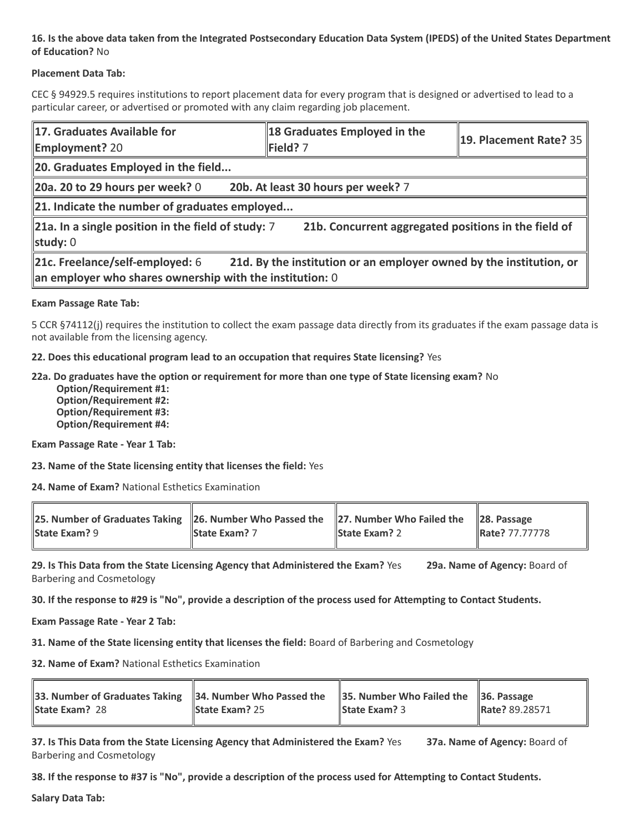### **16. Is the above data taken from the Integrated Postsecondary Education Data System (IPEDS) of the United States Department of Education?** No

#### **Placement Data Tab:**

CEC § 94929.5 requires institutions to report placement data for every program that is designed or advertised to lead to a particular career, or advertised or promoted with any claim regarding job placement.

| 17. Graduates Available for<br><b>Employment? 20</b>                                                                                                                 | 18 Graduates Employed in the<br>Field? 7 | $\parallel$ 19. Placement Rate? 35 |  |  |
|----------------------------------------------------------------------------------------------------------------------------------------------------------------------|------------------------------------------|------------------------------------|--|--|
| 20. Graduates Employed in the field                                                                                                                                  |                                          |                                    |  |  |
| 20a. 20 to 29 hours per week? $0$                                                                                                                                    | 20b. At least 30 hours per week? 7       |                                    |  |  |
| 21. Indicate the number of graduates employed                                                                                                                        |                                          |                                    |  |  |
| $\ $ 21a. In a single position in the field of study: 7<br>21b. Concurrent aggregated positions in the field of<br>study: $0$                                        |                                          |                                    |  |  |
| 21d. By the institution or an employer owned by the institution, or<br>21c. Freelance/self-employed: 6<br>an employer who shares ownership with the institution: $0$ |                                          |                                    |  |  |

#### **Exam Passage Rate Tab:**

5 CCR §74112(j) requires the institution to collect the exam passage data directly from its graduates if the exam passage data is not available from the licensing agency.

**22. Does this educational program lead to an occupation that requires State licensing?** Yes

#### **22a. Do graduates have the option or requirement for more than one type of State licensing exam?** No

 **Option/Requirement #1: Option/Requirement #2: Option/Requirement #3: Option/Requirement #4:**

**Exam Passage Rate - Year 1 Tab:**

**23. Name of the State licensing entity that licenses the field:** Yes

**24. Name of Exam?** National Esthetics Examination

| 25. Number of Graduates Taking 26. Number Who Passed the 27. Number Who Failed the 28. Passage |                      |                      |                |
|------------------------------------------------------------------------------------------------|----------------------|----------------------|----------------|
| <b>State Exam? 9</b>                                                                           | <b>State Exam?</b> 7 | <b>State Exam? 2</b> | Rate? 77.77778 |

**29. Is This Data from the State Licensing Agency that Administered the Exam?** Yes **29a. Name of Agency:** Board of Barbering and Cosmetology

**30. If the response to #29 is "No", provide a description of the process used for Attempting to Contact Students.**

**Exam Passage Rate - Year 2 Tab:**

**31. Name of the State licensing entity that licenses the field:** Board of Barbering and Cosmetology

**32. Name of Exam?** National Esthetics Examination

| 33. Number of Graduates Taking 34. Number Who Passed the 35. Number Who Failed the 36. Passage<br><b>State Exam? 28</b> | <b>State Exam?</b> 25 | <b>State Exam?</b> 3 | Rate? 89.28571 |
|-------------------------------------------------------------------------------------------------------------------------|-----------------------|----------------------|----------------|
|                                                                                                                         |                       |                      |                |

**37. Is This Data from the State Licensing Agency that Administered the Exam?** Yes **37a. Name of Agency:** Board of Barbering and Cosmetology

**38. If the response to #37 is "No", provide a description of the process used for Attempting to Contact Students.** 

**Salary Data Tab:**